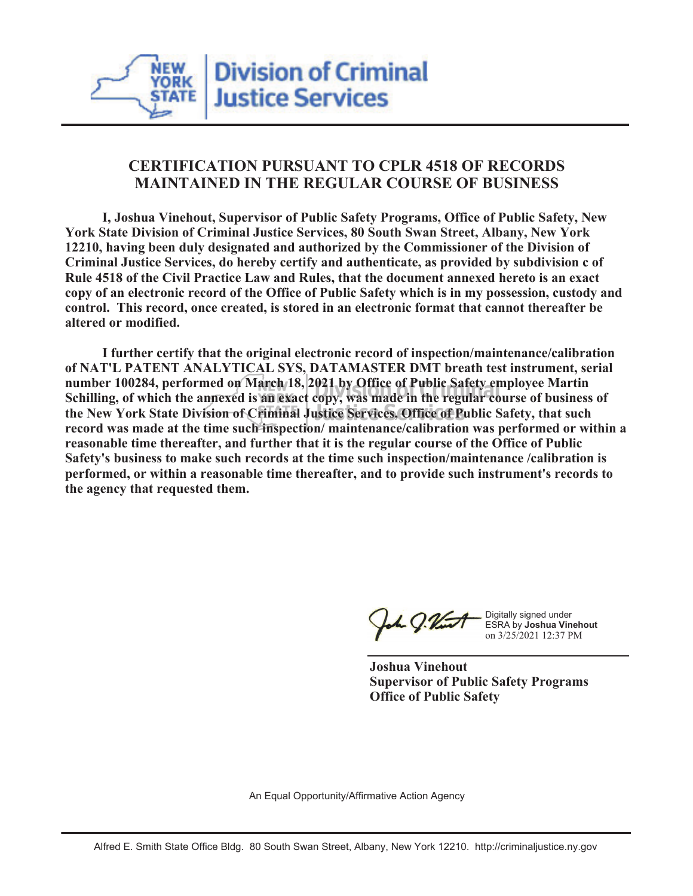# **CERTIFICATION PURSUANT TO CPLR 4518 OF RECORDS MAINTAINED IN THE REGULAR COURSE OF BUSINESS**

 **I, Joshua Vinehout, Supervisor of Public Safety Programs, Office of Public Safety, New York State Division of Criminal Justice Services, 80 South Swan Street, Albany, New York 12210, having been duly designated and authorized by the Commissioner of the Division of Criminal Justice Services, do hereby certify and authenticate, as provided by subdivision c of Rule 4518 of the Civil Practice Law and Rules, that the document annexed hereto is an exact copy of an electronic record of the Office of Public Safety which is in my possession, custody and control. This record, once created, is stored in an electronic format that cannot thereafter be altered or modified.**

 **I further certify that the original electronic record of inspection/maintenance/calibration of NAT'L PATENT ANALYTICAL SYS, DATAMASTER DMT breath test instrument, serial number 100284, performed on March 18, 2021 by Office of Public Safety employee Martin Schilling, of which the annexed is an exact copy, was made in the regular course of business of the New York State Division of Criminal Justice Services, Office of Public Safety, that such record was made at the time such inspection/ maintenance/calibration was performed or within a reasonable time thereafter, and further that it is the regular course of the Office of Public Safety's business to make such records at the time such inspection/maintenance /calibration is performed, or within a reasonable time thereafter, and to provide such instrument's records to the agency that requested them.**

h J.Vint

Digitally signed under ESRA by **Joshua Vinehout** on 3/25/2021 12:37 PM

**Joshua Vinehout Supervisor of Public Safety Programs Office of Public Safety**

An Equal Opportunity/Affirmative Action Agency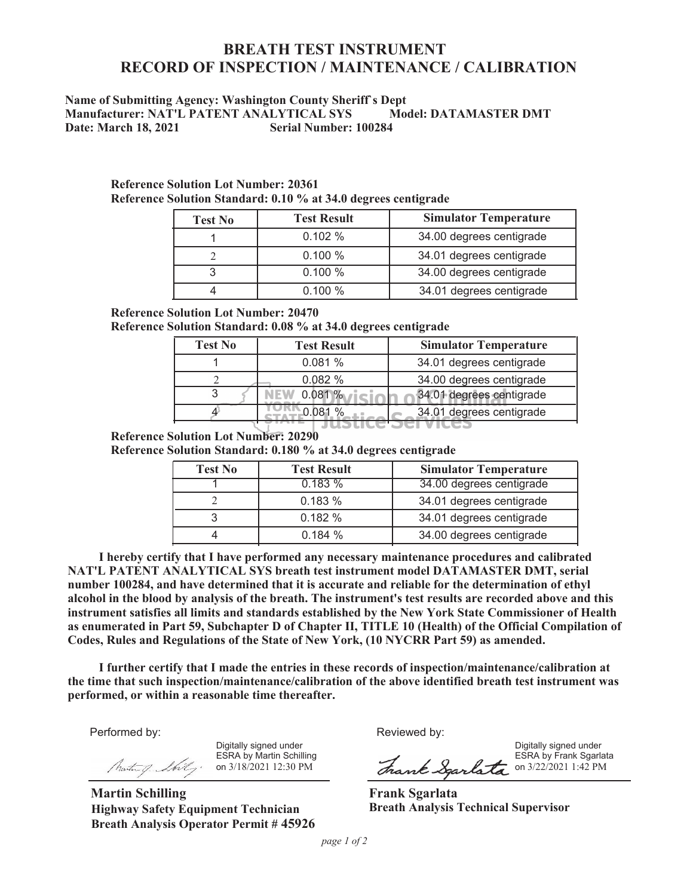# **BREATH TEST INSTRUMENT RECORD OF INSPECTION / MAINTENANCE / CALIBRATION**

## **Name of Submitting Agency: Washington County Sheriff`s Dept Manufacturer: NAT'L PATENT ANALYTICAL SYS Model: DATAMASTER DMT**<br>Date: March 18, 2021 Serial Number: 100284 **Date: March 18, 2021**

| <b>Test No</b> | <b>Test Result</b> | <b>Simulator Temperature</b> |  |  |
|----------------|--------------------|------------------------------|--|--|
|                | 0.102%             | 34.00 degrees centigrade     |  |  |
|                | 0.100%             | 34.01 degrees centigrade     |  |  |
|                | 0.100%             | 34.00 degrees centigrade     |  |  |
|                | 0.100%             | 34.01 degrees centigrade     |  |  |

#### **Reference Solution Lot Number: 20361 Reference Solution Standard: 0.10 % at 34.0 degrees centigrade**

### **Reference Solution Lot Number: 20470**

**Reference Solution Standard: 0.08 % at 34.0 degrees centigrade**

| <b>Test No</b> | <b>Test Result</b> | <b>Simulator Temperature</b> |  |  |
|----------------|--------------------|------------------------------|--|--|
|                | 0.081%             | 34.01 degrees centigrade     |  |  |
|                | 0.082%             | 34.00 degrees centigrade     |  |  |
|                | $0.081 \%$ $\pi$   | 34.01 degrees centigrade     |  |  |
|                |                    | 34.01 degrees centigrade     |  |  |
|                |                    |                              |  |  |

### **Reference Solution Lot Number: 20290**

**Reference Solution Standard: 0.180 % at 34.0 degrees centigrade**

| <b>Test No</b> | <b>Test Result</b> | <b>Simulator Temperature</b> |  |  |
|----------------|--------------------|------------------------------|--|--|
|                | 0.183%             | 34.00 degrees centigrade     |  |  |
|                | 0.183%             | 34.01 degrees centigrade     |  |  |
|                | 0.182%             | 34.01 degrees centigrade     |  |  |
|                | 0.184%             | 34.00 degrees centigrade     |  |  |

 **I hereby certify that I have performed any necessary maintenance procedures and calibrated NAT'L PATENT ANALYTICAL SYS breath test instrument model DATAMASTER DMT, serial number 100284, and have determined that it is accurate and reliable for the determination of ethyl alcohol in the blood by analysis of the breath. The instrument's test results are recorded above and this instrument satisfies all limits and standards established by the New York State Commissioner of Health as enumerated in Part 59, Subchapter D of Chapter II, TITLE 10 (Health) of the Official Compilation of Codes, Rules and Regulations of the State of New York, (10 NYCRR Part 59) as amended.**

 **I further certify that I made the entries in these records of inspection/maintenance/calibration at the time that such inspection/maintenance/calibration of the above identified breath test instrument was performed, or within a reasonable time thereafter.**

Performed by:

Digitally signed under ESRA by Martin Schilling on 3/18/2021 12:30 PM

**Martin Schilling Highway Safety Equipment Technician Breath Analysis Operator Permit # 45926**

Reviewed by:

Digitally signed under ESRA by Frank Sgarlata ESRA by Frank Sgarlata

**Frank Sgarlata Breath Analysis Technical Supervisor**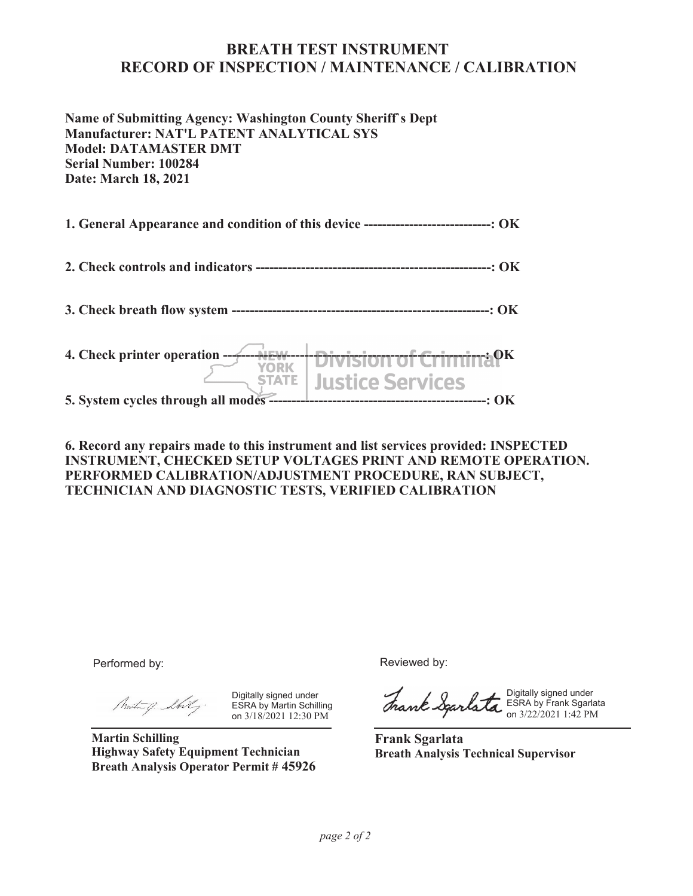## **BREATH TEST INSTRUMENT RECORD OF INSPECTION / MAINTENANCE / CALIBRATION**

**Name of Submitting Agency: Washington County Sheriff`s Dept Manufacturer: NAT'L PATENT ANALYTICAL SYS Model: DATAMASTER DMT Serial Number: 100284 Date: March 18, 2021**

**1. General Appearance and condition of this device ----------------------------: OK**

**2. Check controls and indicators ----------------------------------------------------: OK**

**3. Check breath flow system ---------------------------------------------------------: OK**

**4. Check printer operation ----------------------------------------------------------: OK Justice Services STATE 5. System cycles through all modes ------------------------------------------------: OK**

**6. Record any repairs made to this instrument and list services provided: INSPECTED INSTRUMENT, CHECKED SETUP VOLTAGES PRINT AND REMOTE OPERATION. PERFORMED CALIBRATION/ADJUSTMENT PROCEDURE, RAN SUBJECT, TECHNICIAN AND DIAGNOSTIC TESTS, VERIFIED CALIBRATION**

Performed by:

Mustang Shilly.

Digitally signed under ESRA by Martin Schilling on 3/18/2021 12:30 PM

**Martin Schilling Highway Safety Equipment Technician Breath Analysis Operator Permit # 45926** Reviewed by:

Digitally signed under ESRA by Frank Sgarlata on 3/22/2021 1:42 PM

**Frank Sgarlata Breath Analysis Technical Supervisor**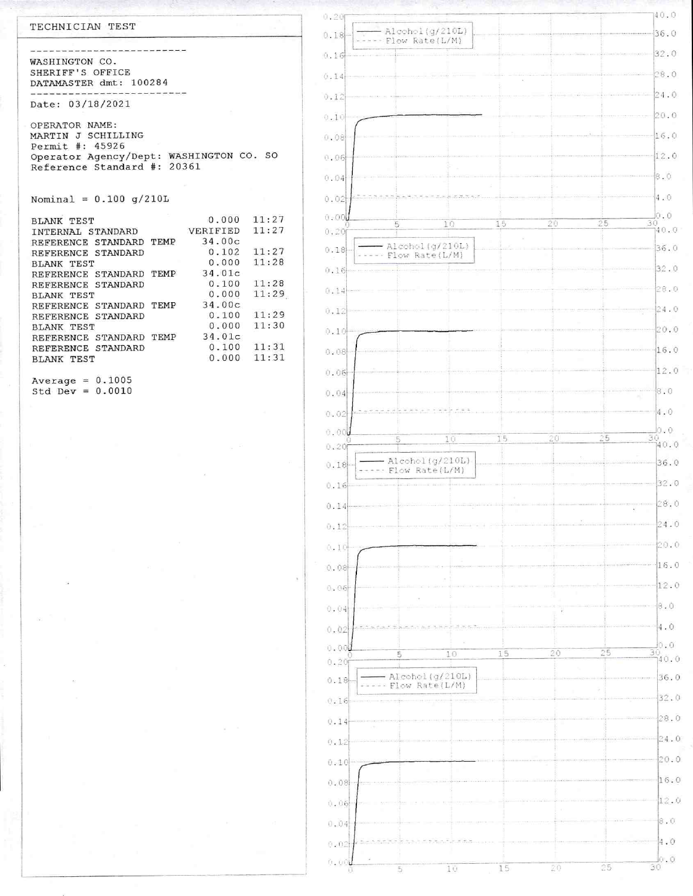| TECHNICIAN TEST                                                        |                | 0.20<br>0.18 | Alcohol(g/210L)                      |    |    |      | 40.0<br>36.0                 |
|------------------------------------------------------------------------|----------------|--------------|--------------------------------------|----|----|------|------------------------------|
|                                                                        |                | [0.16]       | Flow Rate(L/M)                       |    |    |      | 32.0                         |
| WASHINGTON CO.<br>SHERIFF'S OFFICE                                     |                |              |                                      |    |    |      | 28.0                         |
| DATAMASTER dmt: 100284                                                 | 0.14           |              |                                      |    |    | 24.0 |                              |
| Date: 03/18/2021                                                       |                | 0.12         |                                      |    |    |      | 20.0                         |
| OPERATOR NAME:                                                         |                | 0.10         |                                      |    |    |      |                              |
| MARTIN J SCHILLING<br>Permit #: 45926                                  |                | 0.08         |                                      |    |    |      | 16.0                         |
| Operator Agency/Dept: WASHINGTON CO. SO<br>Reference Standard #: 20361 |                | 0.06         |                                      |    |    |      | 12.0                         |
|                                                                        |                | 0.04         |                                      |    |    |      | 8.0                          |
| Nominal = $0.100 g/210L$                                               |                | 0.02         |                                      |    |    |      | 4.0<br>0.0                   |
| 0.000<br><b>BLANK TEST</b><br>VERIFIED<br>INTERNAL STANDARD            | 11:27<br>11:27 | 0.00<br>0.20 | 10<br>5                              | 15 | 20 | 25   | 30<br>140.0                  |
| 34.00c<br>REFERENCE STANDARD TEMP<br>0.102<br>REFERENCE STANDARD       | 11:27          | 0.18         | Alcohol(g/210L)                      |    |    |      | 36.0                         |
| 0.000<br><b>BLANK TEST</b><br>34.01c<br>REFERENCE STANDARD TEMP        | 11:28          | 0.16         | Flow Rate(L/M)                       |    |    |      | 32.0                         |
| 0.100<br>REFERENCE STANDARD<br>0.000<br><b>BLANK TEST</b>              | 11:28<br>11:29 | 0.14         |                                      |    |    |      | 28.0                         |
| 34.00c<br>REFERENCE STANDARD TEMP<br>0.100                             | 11:29          | 0.12         |                                      |    |    |      | 24.0                         |
| REFERENCE STANDARD<br>0.000<br><b>BLANK TEST</b>                       | 11:30          | 0.10         |                                      |    |    |      | 20.0                         |
| 34.01c<br>REFERENCE STANDARD TEMP<br>0.100<br>REFERENCE STANDARD       | 11:31          | 0.08         |                                      |    |    |      | 16.0                         |
| 0.000<br><b>BLANK TEST</b>                                             | 11:31          | 0.06         |                                      |    |    |      | 12.0                         |
| Average = $0.1005$<br>Std Dev = $0.0010$                               |                | 0.04         |                                      |    |    |      | 8.0                          |
|                                                                        |                | 0.02         |                                      |    |    |      | 4.0                          |
|                                                                        |                | 0.00         |                                      |    |    |      | 0.0                          |
|                                                                        |                | 0.20         | 10<br>5                              | 15 | 20 | 25   | $\frac{30}{140.0}$           |
|                                                                        |                | 0.18         | Alcohol(g/210L)<br>-- Flow Rate(L/M) |    |    |      | 36.0                         |
|                                                                        |                | 0.16         |                                      |    |    |      | 32.0                         |
|                                                                        |                | 0.14         |                                      |    |    |      | 28.0                         |
|                                                                        |                | 0.12         |                                      |    |    |      | 24.0                         |
|                                                                        |                | 0.10         |                                      |    |    |      | 20.0                         |
|                                                                        |                | 0.08         |                                      |    |    |      | 16.0                         |
|                                                                        |                | 0.06         |                                      |    |    |      | 12.0                         |
|                                                                        |                | 0.04         |                                      |    |    |      | 8.0                          |
|                                                                        |                | 0.02         |                                      |    |    |      | 4.0                          |
|                                                                        |                | 0.001        | 10                                   | 15 | 20 | 25   | lo.o<br>$\frac{30}{140}$ , 0 |
|                                                                        |                | 0.20<br>0.18 | Alcohol (g/210L)                     |    |    |      | 36.0                         |
|                                                                        |                | 0.16         | Flow Rate(L/M)                       |    |    |      | 32.0                         |
|                                                                        |                | 0.14         |                                      |    |    |      | 28.0                         |
|                                                                        |                | 0.12         |                                      |    |    |      | 24.0                         |
|                                                                        |                | 0.10         |                                      |    |    |      | 20.0                         |
|                                                                        |                | 0.08         |                                      |    |    |      | 16.0                         |
|                                                                        |                | 0.06         |                                      |    |    |      | 12.0                         |
|                                                                        |                |              |                                      |    |    |      | $\beta.0$                    |

 $0.04$ 

 $0.02$ 

 $\phi$  ,  $\phi\phi$  ( )

 $\overline{\mathbf{5}}$ 

 $1\,0$ 

 $\vert 4.0$ 

 $\frac{1}{30}$ , 0

 $rac{1}{25}$ 

 $\overline{\mathcal{Z}0}$ 

 $\frac{1}{15}$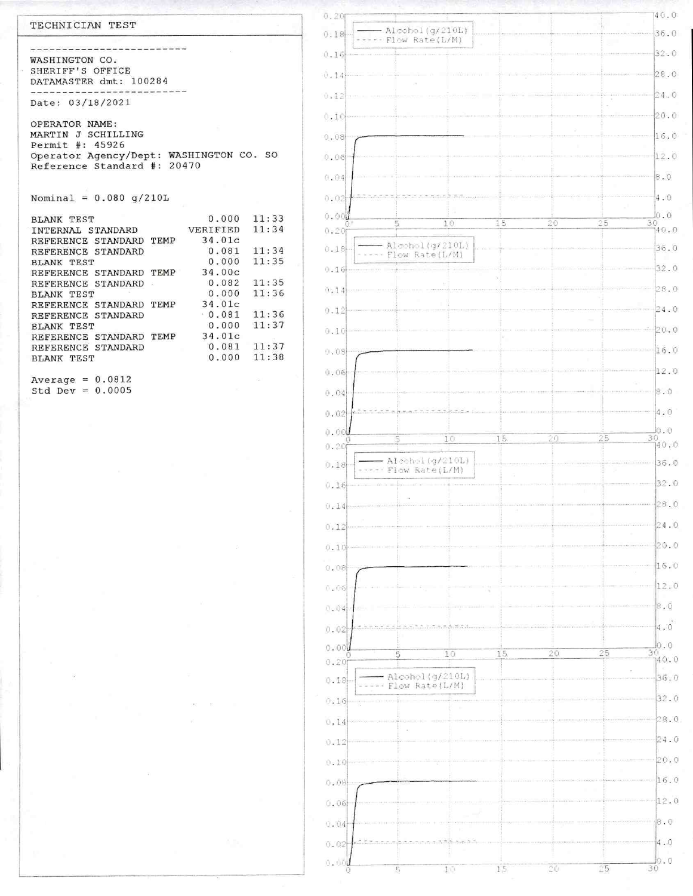#### TECHNICIAN TEST

--------------------------WASHINGTON CO. SHERIFF'S OFFICE DATAMASTER dmt: 100284 --------------------------

Date: 03/18/2021

OPERATOR NAME: MARTIN J SCHILLING Permit #: 45926 Operator Agency/Dept: WASHINGTON CO. SO Reference Standard #: 20470

Nominal =  $0.080$  g/210L

| <b>BLANK TEST</b>       |      | 0.000    | 11:33 |
|-------------------------|------|----------|-------|
| INTERNAL STANDARD       |      | VERIFIED | 11:34 |
| REFERENCE STANDARD      | TEMP | 34.01c   |       |
| REFERENCE STANDARD      |      | 0.081    | 11:34 |
| <b>BLANK TEST</b>       |      | 0.000    | 11:35 |
| REFERENCE STANDARD TEMP |      | 34.00c   |       |
| REFERENCE STANDARD      |      | 0.082    | 11:35 |
| <b>BLANK TEST</b>       |      | 0.000    | 11:36 |
| REFERENCE STANDARD TEMP |      | 34.01c   |       |
| REFERENCE STANDARD      |      | 0.081    | 11:36 |
| BLANK TEST              |      | 0.000    | 11:37 |
| REFERENCE STANDARD      | TEMP | 34.01c   |       |
| REFERENCE STANDARD      |      | 0.081    | 11:37 |
| <b>BLANK TEST</b>       |      | 0.000    | 11:38 |
|                         |      |          |       |

Average =  $0.0812$ Std Dev =  $0.0005$ 

| 0.20           |                                    |        |                  |               | 140.0                   |
|----------------|------------------------------------|--------|------------------|---------------|-------------------------|
| 0.18           | Alcohol (g/210L)<br>Flow Rate(L/M) |        |                  |               | 36.0                    |
| 0.16           |                                    |        |                  |               | 32.0                    |
| 0.14           |                                    |        |                  |               | 28.0                    |
| 0.12           |                                    |        |                  |               | 24.0                    |
| 0.10           |                                    |        |                  |               | 20.0                    |
|                |                                    |        |                  |               |                         |
| 0.08           |                                    |        |                  |               | 16.0                    |
| 0.06           |                                    |        |                  |               | 12.0                    |
| 0.04           |                                    |        |                  |               | 8.0                     |
| 0.02           |                                    |        |                  |               | 4.0                     |
| 0.001<br>0.20f | 5<br>10                            | 15     | 20               | 25            | 0.0<br>30<br>40.0       |
| $0.18 -$       | Alcohol (g/210L)                   |        |                  |               | 36.0                    |
| 0.16           | Flow Rate(L/M)                     |        |                  |               | 32.0                    |
|                |                                    |        |                  |               | 28.0                    |
| 0.14           |                                    |        |                  |               |                         |
| 0.12           |                                    |        |                  |               | 24.0                    |
| 0.10           |                                    |        |                  |               | 20.0                    |
| 0.09           |                                    |        |                  |               | 16.0                    |
| 0.06           |                                    |        |                  |               | 12.0                    |
| 0.04           |                                    |        |                  |               | 8.0                     |
| 0.02           |                                    |        |                  |               | 4.0                     |
| 0.001          | 10<br>5                            | 15     | 20               | $2\sqrt{5}$   | 0.0<br>30               |
| 0.20           | Alcohol (g/210L)                   |        |                  |               | 140.0                   |
| 0.18           | Flow Rate(L/M)                     |        |                  |               | 36.0                    |
| 0.16           |                                    |        |                  |               | 32.0                    |
| 0.14           |                                    |        |                  |               | 28.0                    |
| 0.12           |                                    |        |                  |               | 24.0                    |
| 0.10           |                                    |        |                  |               | 20.0                    |
| 0.08           |                                    |        |                  |               | 16.0                    |
| (1.06)         |                                    |        |                  |               | 12.0                    |
| 0.04           |                                    |        |                  |               | $\mathbb{R}$ . 0        |
| 0.02           |                                    |        |                  |               | 4.0                     |
| 0.00           | 5<br>10                            | 15     | 20               | 25            | $\frac{1}{30}$<br>-30.0 |
| 0.20f          |                                    |        |                  |               |                         |
| $0.18 -$       | Alcohol (g/210L)<br>Flow Rate(L/M) |        |                  |               | 36.0                    |
| 0.16           |                                    |        |                  |               | 32.0                    |
| 0.14           |                                    |        |                  |               | 28.0                    |
| 0.12           |                                    |        |                  |               | 24.0                    |
| 0.10           |                                    |        |                  |               | 20.0                    |
| 0.08           |                                    |        |                  |               | 16.0                    |
| 0.06           |                                    |        |                  |               | 12.0                    |
| 0.04           |                                    |        |                  |               | 8.0                     |
| 0.02           |                                    |        |                  |               | 4.0                     |
| 0.00           |                                    |        |                  |               | $\frac{1}{30}$ .0       |
| θ              | $\mathbb{F}_2$<br>10               | $15\,$ | $\gamma_{\rm C}$ | $\sqrt[3]{5}$ |                         |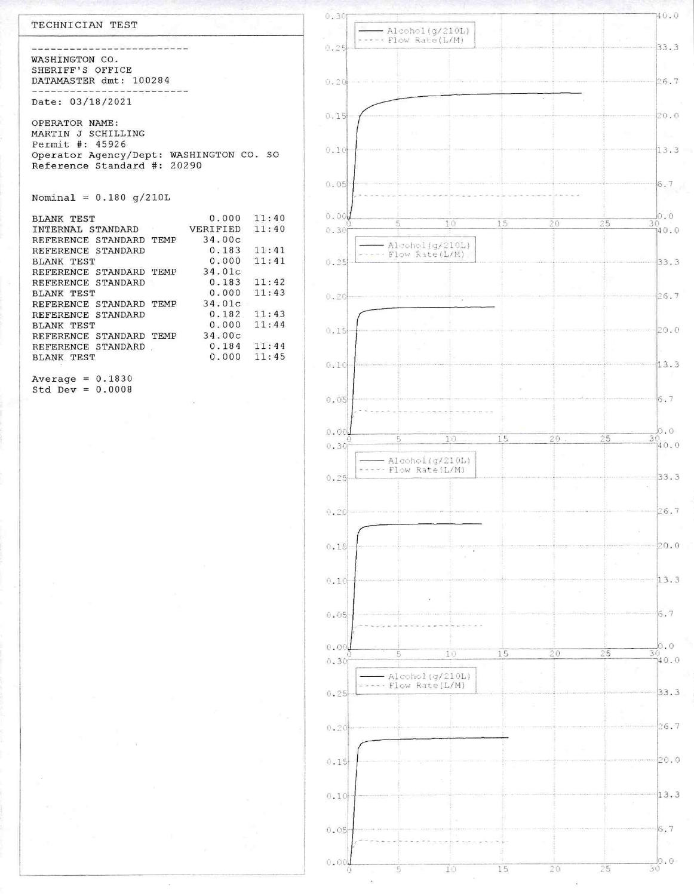#### TECHNICIAN TEST

-----------------WASHINGTON CO. SHERIFF'S OFFICE DATAMASTER dmt: 100284 ------------------------------

Date: 03/18/2021

OPERATOR NAME: MARTIN J SCHILLING Permit #: 45926 Operator Agency/Dept: WASHINGTON CO. SO Reference Standard #: 20290

Nominal =  $0.180 g/210L$ 

| <b>BLANK TEST</b>            |      | 0.000    | 11:40 |
|------------------------------|------|----------|-------|
| INTERNAL STANDARD            |      | VERIFIED | 11:40 |
| REFERENCE STANDARD TEMP      |      | 34.00c   |       |
| REFERENCE STANDARD           |      | 0.183    | 11:41 |
| <b>BLANK TEST</b>            |      | 0.000    | 11:41 |
| REFERENCE<br>STANDARD TEMP   |      | 34.01c   |       |
| REFERENCE STANDARD           |      | 0.183    | 11:42 |
| BLANK TEST                   |      | 0.000    | 11:43 |
| REFERENCE STANDARD TEMP      |      | 34.01c   |       |
| STANDARD<br>REFERENCE        |      | 0.182    | 11:43 |
| <b>BLANK TEST</b>            |      | 0.000    | 11:44 |
| STANDARD<br><b>REFERENCE</b> | TFMP | 34.00c   |       |
| REFERENCE STANDARD           |      | 0.184    | 11:44 |
| <b>BLANK TEST</b>            |      | 0.000    | 11:45 |
|                              |      |          |       |

Average =  $0.1830$ Std Dev =  $0.0008$